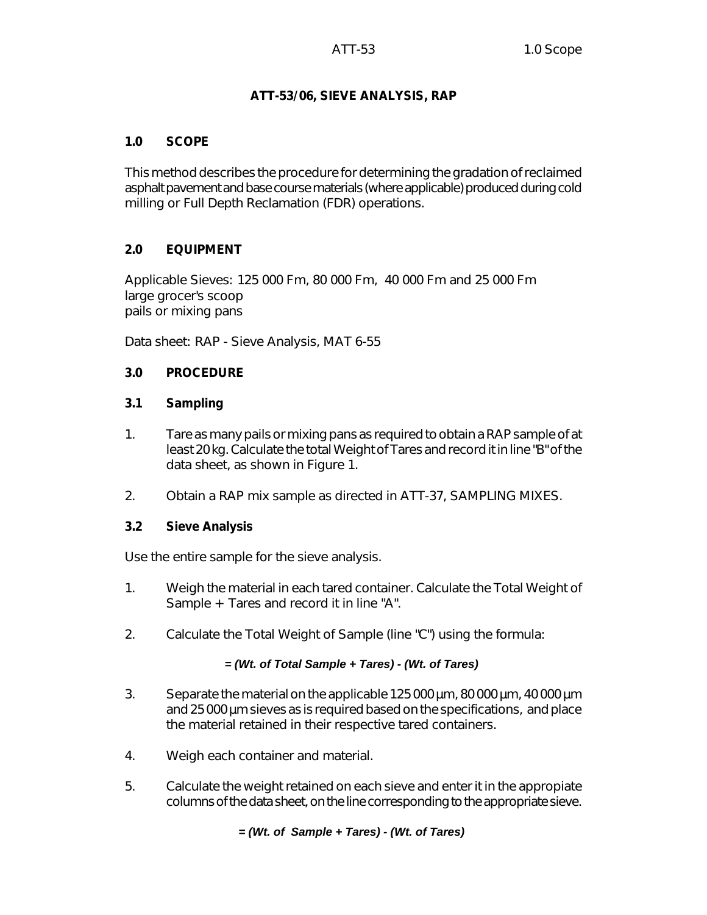# **ATT-53/06, SIEVE ANALYSIS, RAP**

### **1.0 SCOPE**

This method describes the procedure for determining the gradation of reclaimed asphalt pavement and base course materials (where applicable) produced during cold milling or Full Depth Reclamation (FDR) operations.

# **2.0 EQUIPMENT**

Applicable Sieves: 125 000 Fm, 80 000 Fm, 40 000 Fm and 25 000 Fm large grocer's scoop pails or mixing pans

Data sheet: RAP - Sieve Analysis, MAT 6-55

# **3.0 PROCEDURE**

### **3.1 Sampling**

- 1. Tare as many pails or mixing pans as required to obtain a RAP sample of at least 20 kg. Calculate the total Weight of Tares and record it in line "B" of the data sheet, as shown in Figure 1.
- 2. Obtain a RAP mix sample as directed in ATT-37, SAMPLING MIXES.

### **3.2 Sieve Analysis**

Use the entire sample for the sieve analysis.

- 1. Weigh the material in each tared container. Calculate the Total Weight of Sample + Tares and record it in line "A".
- 2. Calculate the Total Weight of Sample (line "C") using the formula:

### *= (Wt. of Total Sample + Tares) - (Wt. of Tares)*

- 3. Separate the material on the applicable 125 000 µm, 80 000 µm, 40 000 µm and 25 000 µm sieves as is required based on the specifications, and place the material retained in their respective tared containers.
- 4. Weigh each container and material.
- 5. Calculate the weight retained on each sieve and enter it in the appropiate columns of the data sheet, on the line corresponding to the appropriate sieve.

### *= (Wt. of Sample + Tares) - (Wt. of Tares)*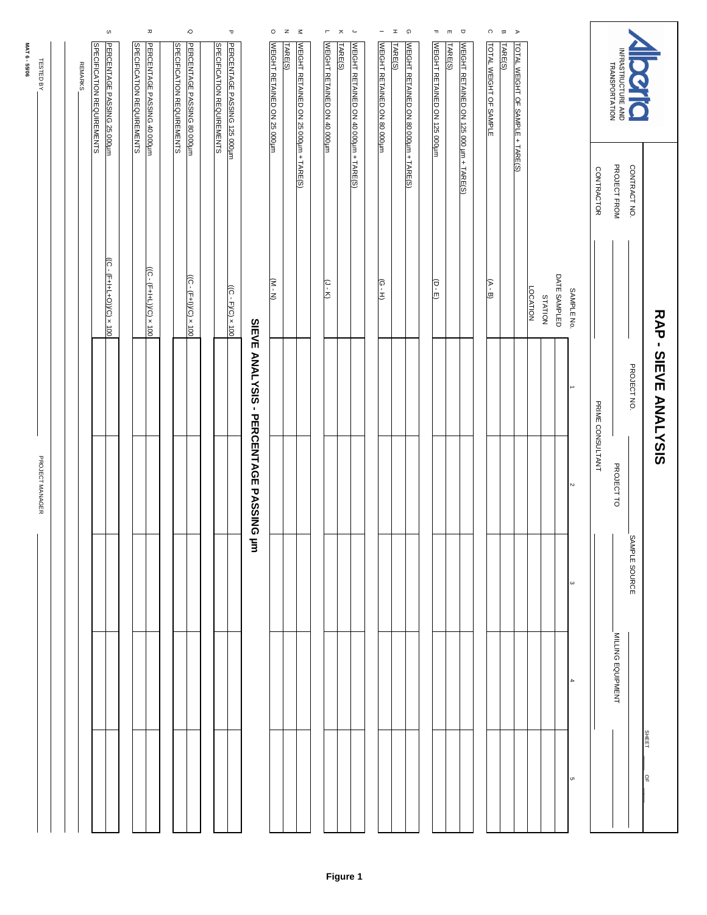|                            |                |  | $\omega$                                                         | $\pmb{\pi}$                                                      | $\circ$                           |                             |                                   | $\mathbf \sigma$             |                                        | $\circ$                     | $\mathbf{z}$<br>$\leq$                           | $\mathsf{r}$                | ㅈ       | $\overline{\phantom{a}}$              | -                           | െ<br>I  |                                       | T,                           | m       | $\Box$                                  | $\circ$                | $\varpi$ $\Rightarrow$ |                                  |                            |              |                       |                   |                                      |               |                             |  |
|----------------------------|----------------|--|------------------------------------------------------------------|------------------------------------------------------------------|-----------------------------------|-----------------------------|-----------------------------------|------------------------------|----------------------------------------|-----------------------------|--------------------------------------------------|-----------------------------|---------|---------------------------------------|-----------------------------|---------|---------------------------------------|------------------------------|---------|-----------------------------------------|------------------------|------------------------|----------------------------------|----------------------------|--------------|-----------------------|-------------------|--------------------------------------|---------------|-----------------------------|--|
| MAT 6 - 55/06<br>TESTED BY | <b>REMARKS</b> |  | <b>SPECIFICATION REQUIREMENTS</b><br>PERCENTAGE PASSING 25 000um | <b>SPECIFICATION REQUIREMENTS</b><br>PERCENTAGE PASSING 40 000um | <b>SPECIFICATION REQUIREMENTS</b> | PERCENTAGE PASSING 80 000um | <b>SPECIFICATION REQUIREMENTS</b> | PERCENTAGE PASSING 125 000um |                                        | WEIGHT RETAINED ON 25 000um | TARE(S)<br>WEIGHT RETAINED ON 25 000µm + TARE(S) | WEIGHT RETAINED ON 40 000um | TARE(S) | WEIGHT RETAINED ON 40 000um + TARE(S) | WEIGHT RETAINED ON 80 000um | TARE(S) | WEIGHT RETAINED ON 80 000um + TARE(S) | WEIGHT RETAINED ON 125 000um | TARE(S) | WEIGHT RETAINED ON 125 000 um + TARE(S) | TOTAL WEIGHT OF SAMPLE | TARE(S)                | TOTAL WEIGHT OF SAMPLE + TARE(S) |                            |              |                       |                   | INFRASTRUCTURE AND<br>TRANSPORTATION | Q             |                             |  |
|                            |                |  |                                                                  |                                                                  |                                   |                             |                                   |                              |                                        |                             |                                                  |                             |         |                                       |                             |         |                                       |                              |         |                                         |                        |                        |                                  |                            |              |                       | <b>CONTRACTOR</b> | PROJECT FROM                         | CONTRACT NO.  |                             |  |
|                            |                |  | $(C - (F + H + O))/C$ x 100                                      | $\frac{(C - (F + 1) \cdot C)}{2} \times 100$                     | $((C - (F + 1))/C) \times 100$    |                             |                                   | $(2C - F)C$ x 100            |                                        | $(M - M)$                   |                                                  | $(1 - K)$                   |         |                                       | $(G - H)$                   |         |                                       | $(D - E)$                    |         |                                         | $(A - B)$              |                        |                                  | <b>LOCATION</b><br>STATION | DATE SAMPLED | SAMPLE No.            |                   |                                      |               |                             |  |
|                            |                |  |                                                                  |                                                                  |                                   |                             |                                   |                              | SIEVE ANALYSIS - PERCENTAGE PASSING um |                             |                                                  |                             |         |                                       |                             |         |                                       |                              |         |                                         |                        |                        |                                  |                            |              | →                     | PRIME CONSULTANT  |                                      | PROJECT NO.   | <b>RAP - SIEVE ANALYSIS</b> |  |
| PROJECT MANAGER            |                |  |                                                                  |                                                                  |                                   |                             |                                   |                              |                                        |                             |                                                  |                             |         |                                       |                             |         |                                       |                              |         |                                         |                        |                        |                                  |                            |              |                       | $\sim$            |                                      | PROJECT TO    |                             |  |
|                            |                |  |                                                                  |                                                                  |                                   |                             |                                   |                              |                                        |                             |                                                  |                             |         |                                       |                             |         |                                       |                              |         |                                         |                        |                        |                                  |                            |              | $\boldsymbol{\omega}$ |                   |                                      | SAMPLE SOURCE |                             |  |
|                            |                |  |                                                                  |                                                                  |                                   |                             |                                   |                              |                                        |                             |                                                  |                             |         |                                       |                             |         |                                       |                              |         |                                         |                        |                        |                                  |                            |              |                       |                   | MILLING EQUIPMENT                    |               |                             |  |
|                            |                |  |                                                                  |                                                                  |                                   |                             |                                   |                              |                                        |                             |                                                  |                             |         |                                       |                             |         |                                       |                              |         |                                         |                        |                        |                                  |                            |              | c                     |                   |                                      |               | <b>SHEET</b><br>읶           |  |